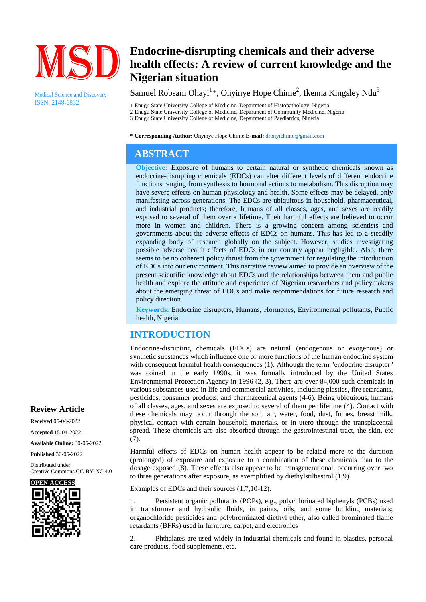

Medical Science and Discovery ISSN: 2148-6832

# **Endocrine-disrupting chemicals and their adverse health effects: A review of current knowledge and the Nigerian situation**

# Samuel Robsam Ohayi<sup>1</sup>\*, Onyinye Hope Chime<sup>2</sup>, Ikenna Kingsley Ndu<sup>3</sup>

1 Enugu State University College of Medicine, Department of Histopathology, Nigeria 2 Enugu State University College of Medicine, Department of Community Medicine, Nigeria 3 Enugu State University College of Medicine, Department of Paediatrics, Nigeria

**\* Corresponding Author:** Onyinye Hope Chime **E-mail:** dronyichime@gmail.com

# **ABSTRACT**

**Objective:** Exposure of humans to certain natural or synthetic chemicals known as endocrine-disrupting chemicals (EDCs) can alter different levels of different endocrine functions ranging from synthesis to hormonal actions to metabolism. This disruption may have severe effects on human physiology and health. Some effects may be delayed, only manifesting across generations. The EDCs are ubiquitous in household, pharmaceutical, and industrial products; therefore, humans of all classes, ages, and sexes are readily exposed to several of them over a lifetime. Their harmful effects are believed to occur more in women and children. There is a growing concern among scientists and governments about the adverse effects of EDCs on humans. This has led to a steadily expanding body of research globally on the subject. However, studies investigating possible adverse health effects of EDCs in our country appear negligible. Also, there seems to be no coherent policy thrust from the government for regulating the introduction of EDCs into our environment. This narrative review aimed to provide an overview of the present scientific knowledge about EDCs and the relationships between them and public health and explore the attitude and experience of Nigerian researchers and policymakers about the emerging threat of EDCs and make recommendations for future research and policy direction.

**Keywords:** Endocrine disruptors, Humans, Hormones, Environmental pollutants, Public health, Nigeria

# **INTRODUCTION**

Endocrine-disrupting chemicals (EDCs) are natural (endogenous or exogenous) or synthetic substances which influence one or more functions of the human endocrine system with consequent harmful health consequences (1). Although the term "endocrine disruptor" was coined in the early 1990s, it was formally introduced by the United States Environmental Protection Agency in 1996 (2, 3). There are over 84,000 such chemicals in various substances used in life and commercial activities, including plastics, fire retardants, pesticides, consumer products, and pharmaceutical agents (4-6). Being ubiquitous, humans of all classes, ages, and sexes are exposed to several of them per lifetime (4). Contact with these chemicals may occur through the soil, air, water, food, dust, fumes, breast milk, physical contact with certain household materials, or in utero through the transplacental spread. These chemicals are also absorbed through the gastrointestinal tract, the skin, etc (7).

Harmful effects of EDCs on human health appear to be related more to the duration (prolonged) of exposure and exposure to a combination of these chemicals than to the dosage exposed (8). These effects also appear to be transgenerational, occurring over two to three generations after exposure, as exemplified by diethylstilbestrol (1,9).

Examples of EDCs and their sources (1,7,10-12).

1. Persistent organic pollutants (POPs), e.g., polychlorinated biphenyls (PCBs) used in transformer and hydraulic fluids, in paints, oils, and some building materials; organochloride pesticides and polybrominated diethyl ether, also called brominated flame retardants (BFRs) used in furniture, carpet, and electronics

2. Phthalates are used widely in industrial chemicals and found in plastics, personal care products, food supplements, etc.

## **Review Article**

**Received** 05-04-2022

**Accepted** 15-04-2022

**Available Online:** 30-05-2022

**Published** 30-05-2022

Distributed under Creative Commons CC-BY-NC 4.0

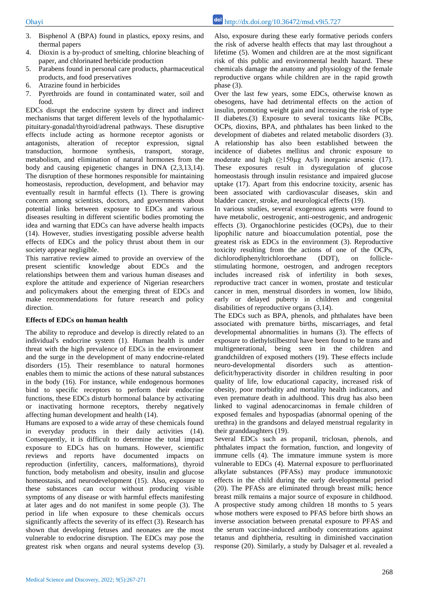- 3. Bisphenol A (BPA) found in plastics, epoxy resins, and thermal papers
- 4. Dioxin is a by-product of smelting, chlorine bleaching of paper, and chlorinated herbicide production
- 5. Parabens found in personal care products, pharmaceutical products, and food preservatives
- 6. Atrazine found in herbicides
- 7. Pyrethroids are found in contaminated water, soil and food.

EDCs disrupt the endocrine system by direct and indirect mechanisms that target different levels of the hypothalamicpituitary-gonadal/thyroid/adrenal pathways. These disruptive effects include acting as hormone receptor agonists or antagonists, alteration of receptor expression, signal transduction, hormone synthesis, transport, storage, metabolism, and elimination of natural hormones from the body and causing epigenetic changes in DNA (2,3,13,14). The disruption of these hormones responsible for maintaining homeostasis, reproduction, development, and behavior may eventually result in harmful effects (1). There is growing concern among scientists, doctors, and governments about potential links between exposure to EDCs and various diseases resulting in different scientific bodies promoting the idea and warning that EDCs can have adverse health impacts (14). However, studies investigating possible adverse health effects of EDCs and the policy thrust about them in our society appear negligible.

This narrative review aimed to provide an overview of the present scientific knowledge about EDCs and the relationships between them and various human diseases and explore the attitude and experience of Nigerian researchers and policymakers about the emerging threat of EDCs and make recommendations for future research and policy direction.

#### **Effects of EDCs on human health**

The ability to reproduce and develop is directly related to an individual's endocrine system (1). Human health is under threat with the high prevalence of EDCs in the environment and the surge in the development of many endocrine-related disorders (15). Their resemblance to natural hormones enables them to mimic the actions of these natural substances in the body (16). For instance, while endogenous hormones bind to specific receptors to perform their endocrine functions, these EDCs disturb hormonal balance by activating or inactivating hormone receptors, thereby negatively affecting human development and health (14).

Humans are exposed to a wide array of these chemicals found in everyday products in their daily activities (14). Consequently, it is difficult to determine the total impact exposure to EDCs has on humans. However, scientific reviews and reports have documented impacts on reproduction (infertility, cancers, malformations), thyroid function, body metabolism and obesity, insulin and glucose homeostasis, and neurodevelopment (15). Also, exposure to these substances can occur without producing visible symptoms of any disease or with harmful effects manifesting at later ages and do not manifest in some people (3). The period in life when exposure to these chemicals occurs significantly affects the severity of its effect (3). Research has shown that developing fetuses and neonates are the most vulnerable to endocrine disruption. The EDCs may pose the greatest risk when organs and neural systems develop (3). Also, exposure during these early formative periods confers the risk of adverse health effects that may last throughout a lifetime (5). Women and children are at the most significant risk of this public and environmental health hazard. These chemicals damage the anatomy and physiology of the female reproductive organs while children are in the rapid growth phase (3).

Over the last few years, some EDCs, otherwise known as obesogens, have had detrimental effects on the action of insulin, promoting weight gain and increasing the risk of type II diabetes.(3) Exposure to several toxicants like PCBs, OCPs, dioxins, BPA, and phthalates has been linked to the development of diabetes and related metabolic disorders (3). A relationship has also been established between the incidence of diabetes mellitus and chronic exposure to moderate and high  $(\geq 150\mu g$  As/l) inorganic arsenic (17). These exposures result in dysregulation of glucose homeostasis through insulin resistance and impaired glucose uptake (17). Apart from this endocrine toxicity, arsenic has been associated with cardiovascular diseases, skin and bladder cancer, stroke, and neurological effects (19).

In various studies, several exogenous agents were found to have metabolic, oestrogenic, anti-oestrogenic, and androgenic effects (3). Organochlorine pesticides (OCPs), due to their lipophilic nature and bioaccumulation potential, pose the greatest risk as EDCs in the environment (3). Reproductive toxicity resulting from the actions of one of the OCPs, dichlorodiphenyltrichloroethane (DDT), on folliclestimulating hormone, oestrogen, and androgen receptors includes increased risk of infertility in both sexes, reproductive tract cancer in women, prostate and testicular cancer in men, menstrual disorders in women, low libido, early or delayed puberty in children and congenital disabilities of reproductive organs (3,14).

The EDCs such as BPA, phenols, and phthalates have been associated with premature births, miscarriages, and fetal developmental abnormalities in humans (3). The effects of exposure to diethylstilbestrol have been found to be trans and multigenerational, being seen in the children and grandchildren of exposed mothers (19). These effects include neuro-developmental disorders such as attentiondeficit/hyperactivity disorder in children resulting in poor quality of life, low educational capacity, increased risk of obesity, poor morbidity and mortality health indicators, and even premature death in adulthood. This drug has also been linked to vaginal adenocarcinomas in female children of exposed females and hypospadias (abnormal opening of the urethra) in the grandsons and delayed menstrual regularity in their granddaughters (19).

Several EDCs such as propanil, triclosan, phenols, and phthalates impact the formation, function, and longevity of immune cells (4). The immature immune system is more vulnerable to EDCs (4). Maternal exposure to perfluorinated alkylate substances (PFASs) may produce immunotoxic effects in the child during the early developmental period (20). The PFASs are eliminated through breast milk; hence breast milk remains a major source of exposure in childhood. A prospective study among children 18 months to 5 years whose mothers were exposed to PFAS before birth shows an inverse association between prenatal exposure to PFAS and the serum vaccine-induced antibody concentrations against tetanus and diphtheria, resulting in diminished vaccination response (20). Similarly, a study by Dalsager et al. revealed a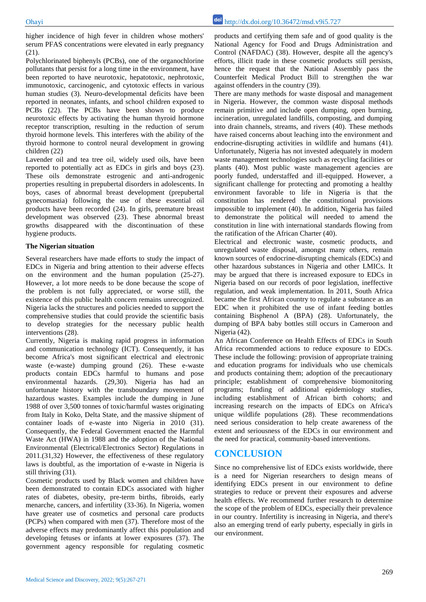higher incidence of high fever in children whose mothers' serum PFAS concentrations were elevated in early pregnancy  $(21)$ .

Polychlorinated biphenyls (PCBs), one of the organochlorine pollutants that persist for a long time in the environment, have been reported to have neurotoxic, hepatotoxic, nephrotoxic, immunotoxic, carcinogenic, and cytotoxic effects in various human studies (3). Neuro-developmental deficits have been reported in neonates, infants, and school children exposed to PCBs (22). The PCBs have been shown to produce neurotoxic effects by activating the human thyroid hormone receptor transcription, resulting in the reduction of serum thyroid hormone levels. This interferes with the ability of the thyroid hormone to control neural development in growing children (22)

Lavender oil and tea tree oil, widely used oils, have been reported to potentially act as EDCs in girls and boys (23). These oils demonstrate estrogenic and anti-androgenic properties resulting in prepubertal disorders in adolescents. In boys, cases of abnormal breast development (prepubertal gynecomastia) following the use of these essential oil products have been recorded (24). In girls, premature breast development was observed (23). These abnormal breast growths disappeared with the discontinuation of these hygiene products.

#### **The Nigerian situation**

Several researchers have made efforts to study the impact of EDCs in Nigeria and bring attention to their adverse effects on the environment and the human population (25-27). However, a lot more needs to be done because the scope of the problem is not fully appreciated, or worse still, the existence of this public health concern remains unrecognized. Nigeria lacks the structures and policies needed to support the comprehensive studies that could provide the scientific basis to develop strategies for the necessary public health interventions (28).

Currently, Nigeria is making rapid progress in information and communication technology (ICT). Consequently, it has become Africa's most significant electrical and electronic waste (e-waste) dumping ground (26). These e-waste products contain EDCs harmful to humans and pose environmental hazards. (29,30). Nigeria has had an unfortunate history with the transboundary movement of hazardous wastes. Examples include the dumping in June 1988 of over 3,500 tonnes of toxic/harmful wastes originating from Italy in Koko, Delta State, and the massive shipment of container loads of e-waste into Nigeria in 2010 (31). Consequently, the Federal Government enacted the Harmful Waste Act (HWA) in 1988 and the adoption of the National Environmental (Electrical/Electronics Sector) Regulations in 2011.(31,32) However, the effectiveness of these regulatory laws is doubtful, as the importation of e-waste in Nigeria is still thriving (31).

Cosmetic products used by Black women and children have been demonstrated to contain EDCs associated with higher rates of diabetes, obesity, pre-term births, fibroids, early menarche, cancers, and infertility (33-36). In Nigeria, women have greater use of cosmetics and personal care products (PCPs) when compared with men (37). Therefore most of the adverse effects may predominantly affect this population and developing fetuses or infants at lower exposures (37). The government agency responsible for regulating cosmetic

products and certifying them safe and of good quality is the National Agency for Food and Drugs Administration and Control (NAFDAC) (38). However, despite all the agency's efforts, illicit trade in these cosmetic products still persists, hence the request that the National Assembly pass the Counterfeit Medical Product Bill to strengthen the war against offenders in the country (39).

There are many methods for waste disposal and management in Nigeria. However, the common waste disposal methods remain primitive and include open dumping, open burning, incineration, unregulated landfills, composting, and dumping into drain channels, streams, and rivers (40). These methods have raised concerns about leaching into the environment and endocrine-disrupting activities in wildlife and humans (41). Unfortunately, Nigeria has not invested adequately in modern waste management technologies such as recycling facilities or plants (40). Most public waste management agencies are poorly funded, understaffed and ill-equipped. However, a significant challenge for protecting and promoting a healthy environment favorable to life in Nigeria is that the constitution has rendered the constitutional provisions impossible to implement (40). In addition, Nigeria has failed to demonstrate the political will needed to amend the constitution in line with international standards flowing from the ratification of the African Charter (40).

Electrical and electronic waste, cosmetic products, and unregulated waste disposal, amongst many others, remain known sources of endocrine-disrupting chemicals (EDCs) and other hazardous substances in Nigeria and other LMICs. It may be argued that there is increased exposure to EDCs in Nigeria based on our records of poor legislation, ineffective regulation, and weak implementation. In 2011, South Africa became the first African country to regulate a substance as an EDC when it prohibited the use of infant feeding bottles containing Bisphenol A (BPA) (28). Unfortunately, the dumping of BPA baby bottles still occurs in Cameroon and Nigeria (42).

An African Conference on Health Effects of EDCs in South Africa recommended actions to reduce exposure to EDCs. These include the following: provision of appropriate training and education programs for individuals who use chemicals and products containing them; adoption of the precautionary principle; establishment of comprehensive biomonitoring programs; funding of additional epidemiology studies, including establishment of African birth cohorts; and increasing research on the impacts of EDCs on Africa's unique wildlife populations (28). These recommendations need serious consideration to help create awareness of the extent and seriousness of the EDCs in our environment and the need for practical, community-based interventions.

## **CONCLUSION**

Since no comprehensive list of EDCs exists worldwide, there is a need for Nigerian researchers to design means of identifying EDCs present in our environment to define strategies to reduce or prevent their exposures and adverse health effects. We recommend further research to determine the scope of the problem of EDCs, especially their prevalence in our country. Infertility is increasing in Nigeria, and there's also an emerging trend of early puberty, especially in girls in our environment.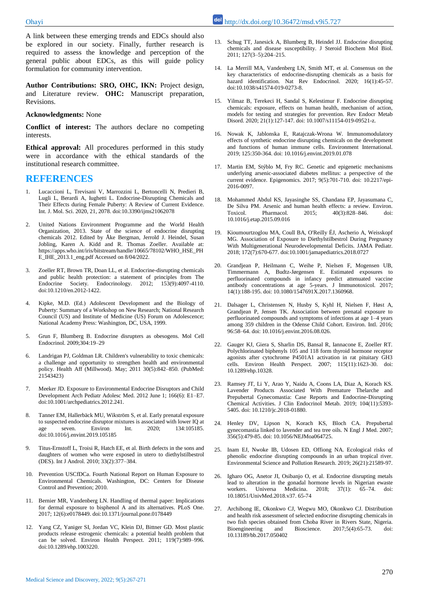A link between these emerging trends and EDCs should also be explored in our society. Finally, further research is required to assess the knowledge and perception of the general public about EDCs, as this will guide policy formulation for community intervention.

**Author Contributions: SRO, OHC, IKN:** Project design, and Literature review. **OHC:** Manuscript preparation, Revisions.

#### **Acknowledgments:** None

**Conflict of interest:** The authors declare no competing interests.

**Ethical approval:** All procedures performed in this study were in accordance with the ethical standards of the institutional research committee.

#### **REFERENCES**

- 1. Lucaccioni L, Trevisani V, Marrozzini L, Bertoncelli N, Predieri B, Lugli L, Berardi A, Iughetti L. Endocrine-Disrupting Chemicals and Their Effects during Female Puberty: A Review of Current Evidence. Int. J. Mol. Sci. 2020, 21, 2078. doi:10.3390/ijms21062078
- 2. United Nations Environment Programme and the World Health Organization, 2013. State of the science of endocrine disrupting chemicals 2012. Edited by Åke Bergman, Jerrold J. Heindel, Susan Jobling, Karen A. Kidd and R. Thomas Zoeller. Available at: https://apps.who.int/iris/bitstream/handle/10665/78102/WHO\_HSE\_PH E\_IHE\_2013.1\_eng.pdf Accessed on 8/04/2022.
- 3. Zoeller RT, Brown TR, Doan LL, et al. Endocrine-disrupting chemicals and public health protection: a statement of principles from The Endocrine Society. Endocrinology. 2012; 153(9):4097-4110. doi:10.1210/en.2012-1422.
- 4. Kipke, M.D. (Ed.) Adolescent Development and the Biology of Puberty: Summary of a Workshop on New Research; National Research Council (US) and Institute of Medicine (US) Forum on Adolescence; National Academy Press: Washington, DC, USA, 1999.
- 5. Grun F, Blumberg B. Endocrine disrupters as obesogens. Mol Cell Endocrinol. 2009;304:19–29
- 6. Landrigan PJ, Goldman LR. Children's vulnerability to toxic chemicals: a challenge and opportunity to strengthen health and environmental policy. Health Aff (Millwood). May; 2011 30(5):842–850. (PubMed: 21543423)
- 7. Meeker JD. Exposure to Environmental Endocrine Disruptors and Child Development Arch Pediatr Adolesc Med. 2012 June 1; 166(6): E1–E7. doi:10.1001/archpediatrics.2012.241.
- 8. Tanner EM, Hallerbäck MU, Wikström S, et al. Early prenatal exposure to suspected endocrine disruptor mixtures is associated with lower IQ at age seven. Environ Int. 2020; 134:105185. doi:10.1016/j.envint.2019.105185
- 9. Titus-Ernstoff L, Troisi R, Hatch EE, et al. Birth defects in the sons and daughters of women who were exposed in utero to diethylstilbestrol (DES). Int J Androl. 2010; 33(2):377–384.
- 10. Prevention USCfDCa. Fourth National Report on Human Exposure to Environmental Chemicals. Washington, DC: Centers for Disease Control and Prevention; 2010.
- 11. Bernier MR, Vandenberg LN. Handling of thermal paper: Implications for dermal exposure to bisphenol A and its alternatives. PLoS One. 2017; 12(6):e0178449. doi:10.1371/journal.pone.0178449
- 12. Yang CZ, Yaniger SI, Jordan VC, Klein DJ, Bittner GD. Most plastic products release estrogenic chemicals: a potential health problem that can be solved. Environ Health Perspect.  $2011$ ;  $119(7)$ :989-996. doi:10.1289/ehp.1003220.
- 13. Schug TT, Janesick A, Blumberg B, Heindel JJ. Endocrine disrupting chemicals and disease susceptibility. J Steroid Biochem Mol Biol. 2011; 127(3–5):204–215.
- 14. La Merrill MA, Vandenberg LN, Smith MT, et al. Consensus on the key characteristics of endocrine-disrupting chemicals as a basis for hazard identification. Nat Rev Endocrinol. 2020; 16(1):45-57. doi:10.1038/s41574-019-0273-8.
- 15. Yilmaz B, Terekeci H, Sandal S, Kelestimur F. Endocrine disrupting chemicals: exposure, effects on human health, mechanism of action, models for testing and strategies for prevention. Rev Endocr Metab Disord. 2020; 21(1):127-147. doi: 10.1007/s11154-019-09521-z.
- 16. Nowak K, Jablonska E, Ratajczak-Wrona W. Immunomodulatory effects of synthetic endocrine disrupting chemicals on the development and functions of human immune cells. Environment International. 2019; 125:350-364. doi: 10.1016/j.envint.2019.01.078
- 17. Martin EM, Stýblo M, Fry RC. Genetic and epigenetic mechanisms underlying arsenic-associated diabetes mellitus: a perspective of the current evidence. Epigenomics. 2017; 9(5):701-710. doi: 10.2217/epi-2016-0097.
- 18. Mohammed Abdul KS, Jayasinghe SS, Chandana EP, Jayasumana C, De Silva PM. Arsenic and human health effects: a review. Environ. Toxicol. Pharmacol. 2015; 40(3):828–846. doi: 10.1016/j.etap.2015.09.016
- 19. Kioumourtzoglou MA, Coull BA, O'Reilly ÉJ, Ascherio A, Weisskopf MG. Association of Exposure to Diethylstilbestrol During Pregnancy With Multigenerational Neurodevelopmental Deficits. JAMA Pediatr. 2018; 172(7):670-677. doi:10.1001/jamapediatrics.2018.0727
- 20. Grandjean P, Heilmann C, Weihe P, Nielsen F, Mogensen UB, Timmermann A, Budtz-Jørgensen E. Estimated exposures to perfluorinated compounds in infancy predict attenuated vaccine antibody concentrations at age 5-years. J Immunotoxicol. 2017; 14(1):188-195. doi: 10.1080/1547691X.2017.1360968.
- 21. Dalsager L, Christensen N, Husby S, Kyhl H, Nielsen F, Høst A, Grandjean P, Jensen TK. Association between prenatal exposure to perfluorinated compounds and symptoms of infections at age 1–4 years among 359 children in the Odense Child Cohort. Environ. Intl. 2016; 96:58–64. doi: 10.1016/j.envint.2016.08.026.
- 22. Gauger KJ, Giera S, Sharlin DS, Bansal R, Iannacone E, Zoeller RT. Polychlorinated biphenyls 105 and 118 form thyroid hormone receptor agonists after cytochrome P4501A1 activation in rat pituitary GH3 cells. Environ Health Perspect. 2007; 115(11):1623-30. doi: 10.1289/ehp.10328.
- 23. Ramsey JT, Li Y, Arao Y, Naidu A, Coons LA, Diaz A, Korach KS. Lavender Products Associated With Premature Thelarche and Prepubertal Gynecomastia: Case Reports and Endocrine-Disrupting Chemical Activities. J Clin Endocrinol Metab. 2019; 104(11):5393- 5405. doi: 10.1210/jc.2018-01880.
- 24. Henley DV, Lipson N, Korach KS, Bloch CA. Prepubertal gynecomastia linked to lavender and tea tree oils. N Engl J Med. 2007; 356(5):479-85. doi: 10.1056/NEJMoa064725.
- 25. Inam EJ, Nwoke IB, Udosen ED, Offiong NA. Ecological risks of phenolic endocrine disrupting compounds in an urban tropical river. Environmental Science and Pollution Research. 2019; 26(21):21589-97.
- 26. Igharo OG, Anetor JI, Osibanjo O, et al. Endocrine disrupting metals lead to alteration in the gonadal hormone levels in Nigerian ewaste workers. Universa Medicina. 2018; 37(1): 65–74. doi: 10.18051/UnivMed.2018.v37. 65-74
- 27. Archibong IE, Okonkwo CJ, Wegwu MO, Okonkwo CJ. Distribution and health risk assessment of selected endocrine disrupting chemicals in two fish species obtained from Choba River in Rivers State, Nigeria. Bioengineering and Bioscience. 2017;5(4):65-73. doi: 10.13189/bb.2017.050402